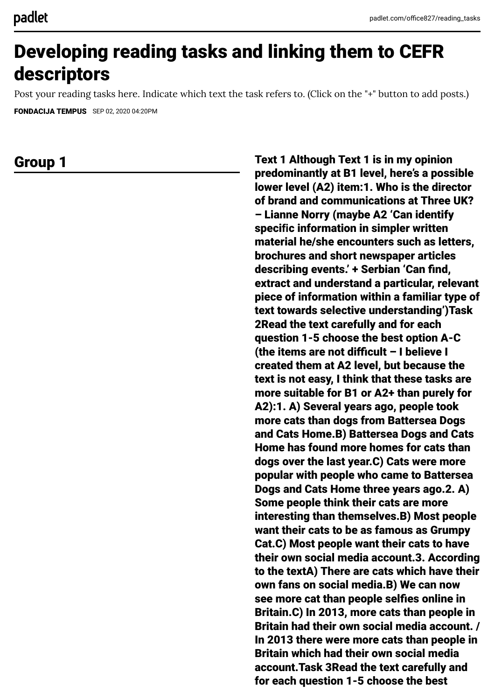# Developing reading tasks and linking them to CEFR descriptors

Post your reading tasks here. Indicate which text the task refers to. (Click on the "+" button to add posts.)

[FONDACIJA TEMPUS](https://padlet.com/office827) SEP 02, 2020 04:20PM

Group 1 Text 1 Although Text 1 is in my opinion predominantly at B1 level, here's a possible lower level (A2) item:1. Who is the director of brand and communications at Three UK? – Lianne Norry (maybe A2 'Can identify speci**fi**c information in simpler written material he/she encounters such as letters, brochures and short newspaper articles describing events.' + Serbian 'Can find, extract and understand a particular, relevant piece of information within a familiar type of text towards selective understanding')Task 2Read the text carefully and for each question 1-5 choose the best option A-C (the items are not difficult – I believe I created them at A2 level, but because the text is not easy, I think that these tasks are more suitable for B1 or A2+ than purely for A2):1. A) Several years ago, people took more cats than dogs from Battersea Dogs and Cats Home.B) Battersea Dogs and Cats Home has found more homes for cats than dogs over the last year.C) Cats were more popular with people who came to Battersea Dogs and Cats Home three years ago.2. A) Some people think their cats are more interesting than themselves.B) Most people want their cats to be as famous as Grumpy Cat.C) Most people want their cats to have their own social media account.3. According to the textA) There are cats which have their own fans on social media.B) We can now see more cat than people selfies online in Britain.C) In 2013, more cats than people in Britain had their own social media account. / In 2013 there were more cats than people in Britain which had their own social media account.Task 3Read the text carefully and for each question 1-5 choose the best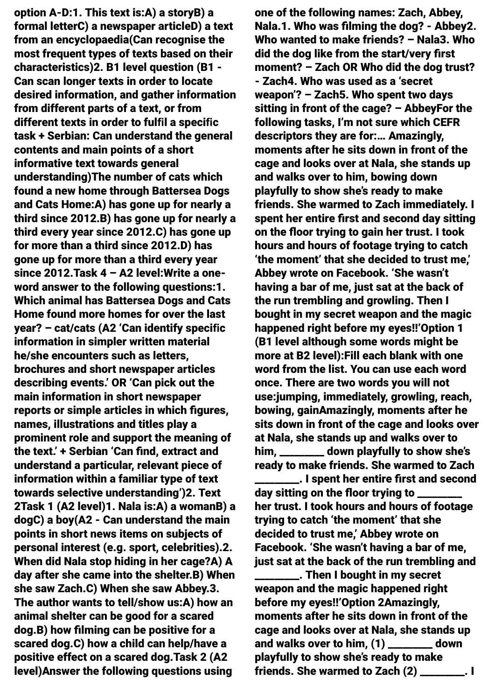option A-D:1. This text is:A) a storyB) a formal letterC) a newspaper articleD) a text from an encyclopaedia(Can recognise the most frequent types of texts based on their characteristics)2. B1 level question (B1 - Can scan longer texts in order to locate desired information, and gather information from different parts of a text, or from different texts in order to ful**fi**l a speci**fi**c task + Serbian: Can understand the general contents and main points of a short informative text towards general understanding)The number of cats which found a new home through Battersea Dogs and Cats Home:A) has gone up for nearly a third since 2012.B) has gone up for nearly a third every year since 2012.C) has gone up for more than a third since 2012.D) has gone up for more than a third every year since 2012.Task 4 – A2 level:Write a oneword answer to the following questions:1. Which animal has Battersea Dogs and Cats Home found more homes for over the last year? – cat/cats (A2 'Can identify speci**fi**c information in simpler written material he/she encounters such as letters, brochures and short newspaper articles describing events.' OR 'Can pick out the main information in short newspaper reports or simple articles in which figures, names, illustrations and titles play a prominent role and support the meaning of the text.' + Serbian 'Can find, extract and understand a particular, relevant piece of information within a familiar type of text towards selective understanding')2. Text 2Task 1 (A2 level)1. Nala is:A) a womanB) a dogC) a boy(A2 - Can understand the main points in short news items on subjects of personal interest (e.g. sport, celebrities).2. When did Nala stop hiding in her cage?A) A day after she came into the shelter.B) When she saw Zach.C) When she saw Abbey.3. The author wants to tell/show us:A) how an animal shelter can be good for a scared dog.B) how filming can be positive for a scared dog.C) how a child can help/have a positive effect on a scared dog.Task 2 (A2 level)Answer the following questions using

one of the following names: Zach, Abbey, Nala.1. Who was filming the dog? - Abbey2. Who wanted to make friends? – Nala3. Who did the dog like from the start/very first moment? – Zach OR Who did the dog trust? - Zach4. Who was used as a 'secret weapon'? – Zach5. Who spent two days sitting in front of the cage? – AbbeyFor the following tasks, I'm not sure which CEFR descriptors they are for:… Amazingly, moments after he sits down in front of the cage and looks over at Nala, she stands up and walks over to him, bowing down playfully to show she's ready to make friends. She warmed to Zach immediately. I spent her entire first and second day sitting on the floor trying to gain her trust. I took hours and hours of footage trying to catch 'the moment' that she decided to trust me,' Abbey wrote on Facebook. 'She wasn't having a bar of me, just sat at the back of the run trembling and growling. Then I bought in my secret weapon and the magic happened right before my eyes!!'Option 1 (B1 level although some words might be more at B2 level):Fill each blank with one word from the list. You can use each word once. There are two words you will not use:jumping, immediately, growling, reach, bowing, gainAmazingly, moments after he sits down in front of the cage and looks over at Nala, she stands up and walks over to him, \_\_\_\_\_\_\_\_\_ down playfully to show she's ready to make friends. She warmed to Zach

\_\_\_\_\_\_\_\_\_. I spent her entire first and second day sitting on the floor trying to \_ her trust. I took hours and hours of footage trying to catch 'the moment' that she decided to trust me,' Abbey wrote on Facebook. 'She wasn't having a bar of me, just sat at the back of the run trembling and

**way**. Then I bought in my secret weapon and the magic happened right before my eyes!!'Option 2Amazingly, moments after he sits down in front of the cage and looks over at Nala, she stands up and walks over to him, (1) \_\_\_\_\_\_\_\_\_ down playfully to show she's ready to make friends. She warmed to Zach (2) \_\_\_\_\_\_\_\_\_. I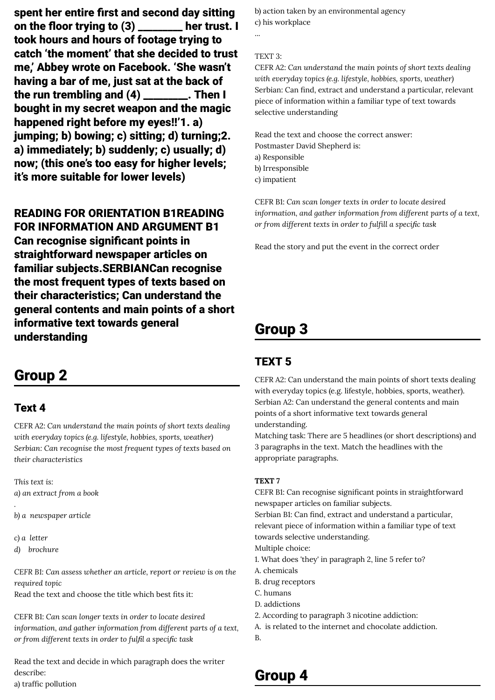spent her entire first and second day sitting on the floor trying to (3) \_\_\_\_\_\_\_\_\_ her trust. I took hours and hours of footage trying to catch 'the moment' that she decided to trust me,' Abbey wrote on Facebook. 'She wasn't having a bar of me, just sat at the back of the run trembling and (4) \_\_\_\_\_\_\_\_\_. Then I bought in my secret weapon and the magic happened right before my eyes!!'1. a) jumping; b) bowing; c) sitting; d) turning;2. a) immediately; b) suddenly; c) usually; d) now; (this one's too easy for higher levels; it's more suitable for lower levels)

### READING FOR ORIENTATION B1READING FOR INFORMATION AND ARGUMENT B1

Can recognise significant points in straightforward newspaper articles on familiar subjects.SERBIANCan recognise the most frequent types of texts based on their characteristics; Can understand the general contents and main points of a short informative text towards general understanding

### Group 2

### Text 4

CEFR A2: *Can understand the main points of short texts dealing with everyday topics (e.g. lifestyle, hobbies, sports, weather) Serbian: Can recognise the most frequent types of texts based on their characteristics*

*This text is: a) an extract from a book .*

*b) a newspaper article*

*c) a letter*

*d) brochure*

*CEFR B1: Can assess whether an article, report or review is on the required topic* Read the text and choose the title which best fits it:

CEFR B1: *Can scan longer texts in order to locate desired information, and gather information from different parts of a text, or from different texts in order to full a specic task*

Read the text and decide in which paragraph does the writer describe: a) traffic pollution

b) action taken by an environmental agency c) his workplace

#### TEXT 3:

...

CEFR A2: *Can understand the main points of short texts dealing with everyday topics (e.g. lifestyle, hobbies, sports, weather)* Serbian: Can find, extract and understand a particular, relevant piece of information within a familiar type of text towards selective understanding

Read the text and choose the correct answer: Postmaster David Shepherd is: a) Responsible b) Irresponsible c) impatient

CEFR B1: *Can scan longer texts in order to locate desired information, and gather information from different parts of a text, or from different texts in order to fulll a specic task*

Read the story and put the event in the correct order

## Group 3

### TEXT 5

CEFR A2: Can understand the main points of short texts dealing with everyday topics (e.g. lifestyle, hobbies, sports, weather). Serbian A2: Can understand the general contents and main points of a short informative text towards general understanding.

Matching task: There are 5 headlines (or short descriptions) and 3 paragraphs in the text. Match the headlines with the appropriate paragraphs.

#### **TEXT 7**

CEFR B1: Can recognise significant points in straightforward newspaper articles on familiar subjects. Serbian B1: Can find, extract and understand a particular, relevant piece of information within a familiar type of text towards selective understanding. Multiple choice: 1. What does 'they' in paragraph 2, line 5 refer to? A. chemicals B. drug receptors C. humans

- D. addictions
- 2. According to paragraph 3 nicotine addiction:
- A. is related to the internet and chocolate addiction.
- B.

### Group 4